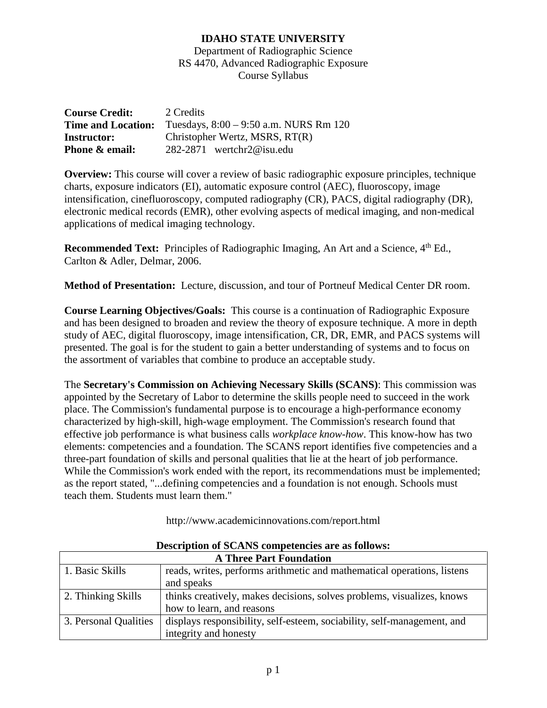## **IDAHO STATE UNIVERSITY**

Department of Radiographic Science RS 4470, Advanced Radiographic Exposure Course Syllabus

| <b>Course Credit:</b> | 2 Credits                                                          |  |
|-----------------------|--------------------------------------------------------------------|--|
|                       | <b>Time and Location:</b> Tuesdays, $8:00 - 9:50$ a.m. NURS Rm 120 |  |
| <b>Instructor:</b>    | Christopher Wertz, MSRS, RT(R)                                     |  |
| Phone & email:        | $282-2871$ wertchr $2@$ isu.edu                                    |  |

**Overview:** This course will cover a review of basic radiographic exposure principles, technique charts, exposure indicators (EI), automatic exposure control (AEC), fluoroscopy, image intensification, cinefluoroscopy, computed radiography (CR), PACS, digital radiography (DR), electronic medical records (EMR), other evolving aspects of medical imaging, and non-medical applications of medical imaging technology.

**Recommended Text:** Principles of Radiographic Imaging, An Art and a Science, 4<sup>th</sup> Ed., Carlton & Adler, Delmar, 2006.

**Method of Presentation:** Lecture, discussion, and tour of Portneuf Medical Center DR room.

**Course Learning Objectives/Goals:** This course is a continuation of Radiographic Exposure and has been designed to broaden and review the theory of exposure technique. A more in depth study of AEC, digital fluoroscopy, image intensification, CR, DR, EMR, and PACS systems will presented. The goal is for the student to gain a better understanding of systems and to focus on the assortment of variables that combine to produce an acceptable study.

The **Secretary's Commission on Achieving Necessary Skills (SCANS)**: This commission was appointed by the Secretary of Labor to determine the skills people need to succeed in the work place. The Commission's fundamental purpose is to encourage a high-performance economy characterized by high-skill, high-wage employment. The Commission's research found that effective job performance is what business calls *workplace know-how*. This know-how has two elements: competencies and a foundation. The SCANS report identifies five competencies and a three-part foundation of skills and personal qualities that lie at the heart of job performance. While the Commission's work ended with the report, its recommendations must be implemented; as the report stated, "...defining competencies and a foundation is not enough. Schools must teach them. Students must learn them."

http://www.academicinnovations.com/report.html

| <b>A Three Part Foundation</b> |                                                                         |  |  |
|--------------------------------|-------------------------------------------------------------------------|--|--|
| 1. Basic Skills                | reads, writes, performs arithmetic and mathematical operations, listens |  |  |
|                                | and speaks                                                              |  |  |
| 2. Thinking Skills             | thinks creatively, makes decisions, solves problems, visualizes, knows  |  |  |
|                                | how to learn, and reasons                                               |  |  |
| 3. Personal Qualities          | displays responsibility, self-esteem, sociability, self-management, and |  |  |
|                                | integrity and honesty                                                   |  |  |

**Description of SCANS competencies are as follows:**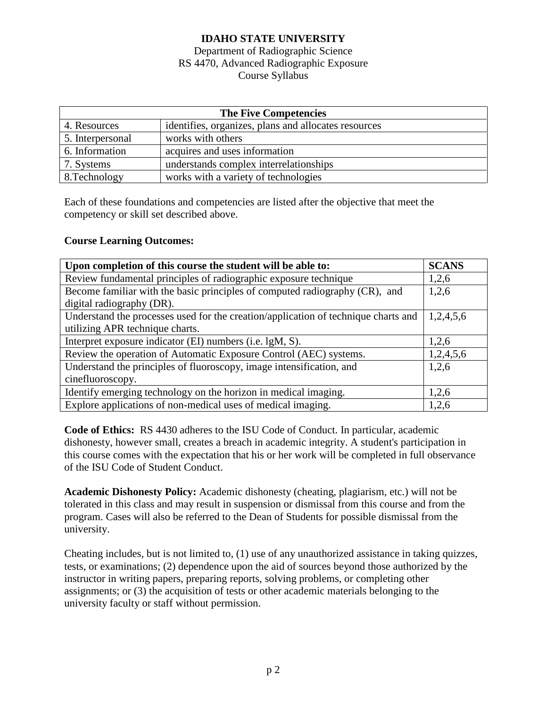# **IDAHO STATE UNIVERSITY**

### Department of Radiographic Science RS 4470, Advanced Radiographic Exposure Course Syllabus

| <b>The Five Competencies</b> |                                                      |  |  |
|------------------------------|------------------------------------------------------|--|--|
| 4. Resources                 | identifies, organizes, plans and allocates resources |  |  |
| 5. Interpersonal             | works with others                                    |  |  |
| 6. Information               | acquires and uses information                        |  |  |
| 7. Systems                   | understands complex interrelationships               |  |  |
| 8. Technology                | works with a variety of technologies                 |  |  |

Each of these foundations and competencies are listed after the objective that meet the competency or skill set described above.

### **Course Learning Outcomes:**

| Upon completion of this course the student will be able to:                        | <b>SCANS</b> |  |
|------------------------------------------------------------------------------------|--------------|--|
| Review fundamental principles of radiographic exposure technique                   |              |  |
| Become familiar with the basic principles of computed radiography (CR), and        |              |  |
| digital radiography (DR).                                                          |              |  |
| Understand the processes used for the creation/application of technique charts and |              |  |
| utilizing APR technique charts.                                                    |              |  |
| Interpret exposure indicator (EI) numbers (i.e. lgM, S).                           |              |  |
| Review the operation of Automatic Exposure Control (AEC) systems.                  |              |  |
| Understand the principles of fluoroscopy, image intensification, and               | 1,2,6        |  |
| cinefluoroscopy.                                                                   |              |  |
| Identify emerging technology on the horizon in medical imaging.                    | 1,2,6        |  |
| Explore applications of non-medical uses of medical imaging.                       | 1,2,6        |  |

**Code of Ethics:** RS 4430 adheres to the ISU Code of Conduct. In particular, academic dishonesty, however small, creates a breach in academic integrity. A student's participation in this course comes with the expectation that his or her work will be completed in full observance of the ISU Code of Student Conduct.

**Academic Dishonesty Policy:** Academic dishonesty (cheating, plagiarism, etc.) will not be tolerated in this class and may result in suspension or dismissal from this course and from the program. Cases will also be referred to the Dean of Students for possible dismissal from the university.

Cheating includes, but is not limited to, (1) use of any unauthorized assistance in taking quizzes, tests, or examinations; (2) dependence upon the aid of sources beyond those authorized by the instructor in writing papers, preparing reports, solving problems, or completing other assignments; or (3) the acquisition of tests or other academic materials belonging to the university faculty or staff without permission.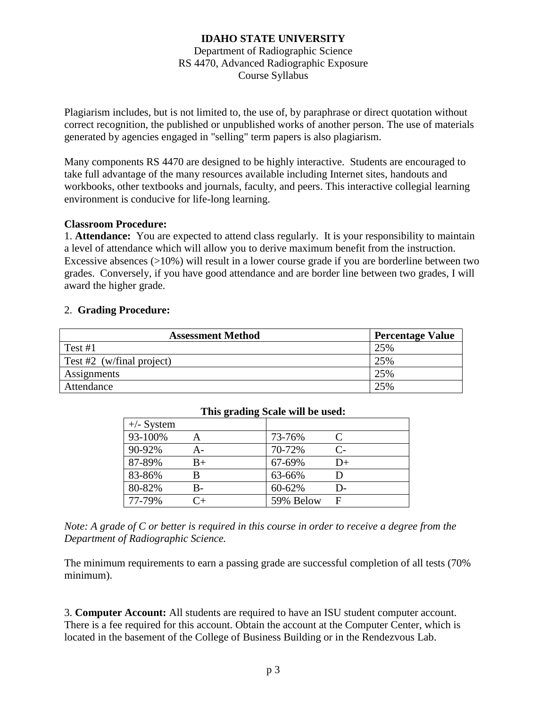### **IDAHO STATE UNIVERSITY** Department of Radiographic Science RS 4470, Advanced Radiographic Exposure

Course Syllabus

Plagiarism includes, but is not limited to, the use of, by paraphrase or direct quotation without correct recognition, the published or unpublished works of another person. The use of materials generated by agencies engaged in "selling" term papers is also plagiarism.

Many components RS 4470 are designed to be highly interactive. Students are encouraged to take full advantage of the many resources available including Internet sites, handouts and workbooks, other textbooks and journals, faculty, and peers. This interactive collegial learning environment is conducive for life-long learning.

#### **Classroom Procedure:**

1. **Attendance:** You are expected to attend class regularly. It is your responsibility to maintain a level of attendance which will allow you to derive maximum benefit from the instruction. Excessive absences (>10%) will result in a lower course grade if you are borderline between two grades. Conversely, if you have good attendance and are border line between two grades, I will award the higher grade.

### 2. **Grading Procedure:**

| <b>Assessment Method</b>     | <b>Percentage Value</b> |
|------------------------------|-------------------------|
| Test $#1$                    | 25%                     |
| Test #2 $(w/final)$ project) | 25%                     |
| Assignments                  | 25%                     |
| Attendance                   | 25%                     |

| THIS Grading Deale will be used. |             |           |                      |  |  |  |
|----------------------------------|-------------|-----------|----------------------|--|--|--|
| $+\angle$ - System               |             |           |                      |  |  |  |
| 93-100%                          |             | 73-76%    |                      |  |  |  |
| 90-92%                           | А-          | 70-72%    | $\mathsf{C}\text{-}$ |  |  |  |
| 87-89%                           | $_{\rm B+}$ | 67-69%    | D+                   |  |  |  |
| 83-86%                           |             | 63-66%    |                      |  |  |  |
| 80-82%                           | B-          | 60-62%    | D-                   |  |  |  |
| 77-79%                           | $C_{+}$     | 59% Below |                      |  |  |  |

#### **This grading Scale will be used:**

*Note: A grade of C or better is required in this course in order to receive a degree from the Department of Radiographic Science.*

The minimum requirements to earn a passing grade are successful completion of all tests (70% minimum).

3. **Computer Account:** All students are required to have an ISU student computer account. There is a fee required for this account. Obtain the account at the Computer Center, which is located in the basement of the College of Business Building or in the Rendezvous Lab.